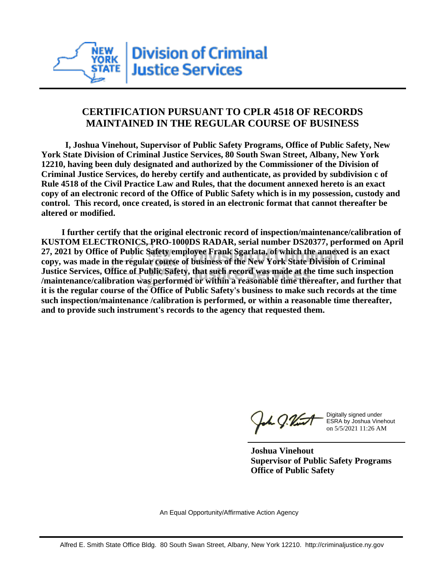

## **CERTIFICATION PURSUANT TO CPLR 4518 OF RECORDS MAINTAINED IN THE REGULAR COURSE OF BUSINESS**

 **I, Joshua Vinehout, Supervisor of Public Safety Programs, Office of Public Safety, New York State Division of Criminal Justice Services, 80 South Swan Street, Albany, New York 12210, having been duly designated and authorized by the Commissioner of the Division of Criminal Justice Services, do hereby certify and authenticate, as provided by subdivision c of Rule 4518 of the Civil Practice Law and Rules, that the document annexed hereto is an exact copy of an electronic record of the Office of Public Safety which is in my possession, custody and control. This record, once created, is stored in an electronic format that cannot thereafter be altered or modified.**

 **I further certify that the original electronic record of inspection/maintenance/calibration of KUSTOM ELECTRONICS, PRO-1000DS RADAR, serial number DS20377, performed on April 27, 2021 by Office of Public Safety employee Frank Sgarlata, of which the annexed is an exact copy, was made in the regular course of business of the New York State Division of Criminal Justice Services, Office of Public Safety, that such record was made at the time such inspection /maintenance/calibration was performed or within a reasonable time thereafter, and further that it is the regular course of the Office of Public Safety's business to make such records at the time such inspection/maintenance /calibration is performed, or within a reasonable time thereafter, and to provide such instrument's records to the agency that requested them.**

the J. Vint

Digitally signed under ESRA by Joshua Vinehout on 5/5/2021 11:26 AM

**Joshua Vinehout Supervisor of Public Safety Programs Office of Public Safety**

An Equal Opportunity/Affirmative Action Agency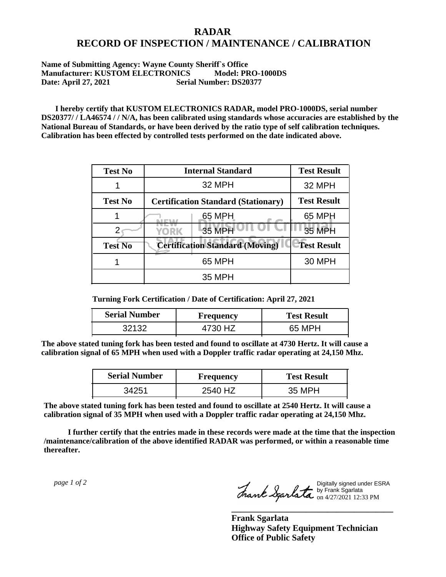## **RADAR RECORD OF INSPECTION / MAINTENANCE / CALIBRATION**

## **Name of Submitting Agency: Wayne County Sheriff`s Office Manufacturer: KUSTOM ELECTRONICS Model: PRO-1000DS Date: April 27, 2021 Serial Number: DS20377**

 **I hereby certify that KUSTOM ELECTRONICS RADAR, model PRO-1000DS, serial number DS20377/ / LA46574 / / N/A, has been calibrated using standards whose accuracies are established by the National Bureau of Standards, or have been derived by the ratio type of self calibration techniques. Calibration has been effected by controlled tests performed on the date indicated above.**

| <b>Test No</b> | <b>Internal Standard</b>                   | <b>Test Result</b> |
|----------------|--------------------------------------------|--------------------|
|                | 32 MPH                                     | 32 MPH             |
| <b>Test No</b> | <b>Certification Standard (Stationary)</b> | <b>Test Result</b> |
|                | 65 MPH                                     | 65 MPH             |
|                | 35 MPH<br>YORK                             | 35 MPH             |
| <b>Test No</b> | <b>Certification Standard (Moving)</b>     | <b>Test Result</b> |
|                | 65 MPH                                     | <b>30 MPH</b>      |
|                | <b>35 MPH</b>                              |                    |

**Turning Fork Certification / Date of Certification: April 27, 2021**

| <b>Serial Number</b> | <b>Frequency</b> | <b>Test Result</b> |
|----------------------|------------------|--------------------|
|                      |                  | 65 MPH             |

**The above stated tuning fork has been tested and found to oscillate at 4730 Hertz. It will cause a calibration signal of 65 MPH when used with a Doppler traffic radar operating at 24,150 Mhz.**

| <b>Serial Number</b> | <b>Frequency</b> | <b>Test Result</b> |
|----------------------|------------------|--------------------|
| 34251                | 2540 HZ          | 35 MPH             |

**The above stated tuning fork has been tested and found to oscillate at 2540 Hertz. It will cause a calibration signal of 35 MPH when used with a Doppler traffic radar operating at 24,150 Mhz.**

 **I further certify that the entries made in these records were made at the time that the inspection /maintenance/calibration of the above identified RADAR was performed, or within a reasonable time thereafter.**

 *page 1 of 2* 

Digitally signed under ESRA by Frank Sgarlata on 4/27/2021 12:33 PM

**\_\_\_\_\_\_\_\_\_\_\_\_\_\_\_\_\_\_\_\_\_\_\_\_\_\_\_\_\_\_\_\_\_\_\_\_\_**

**Frank Sgarlata Highway Safety Equipment Technician Office of Public Safety**